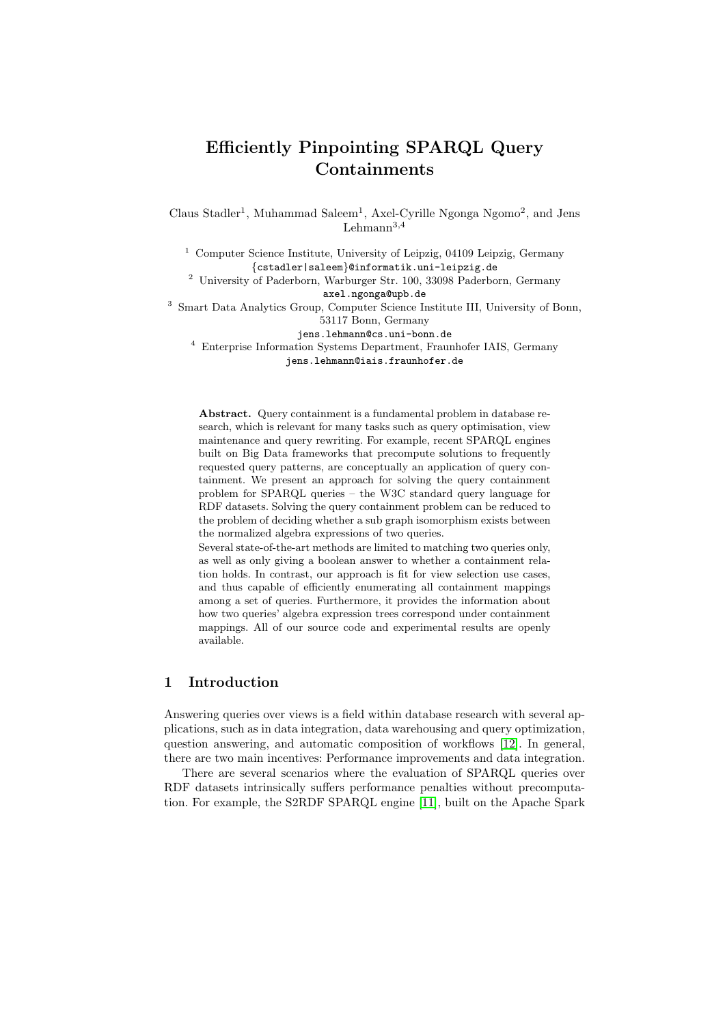# Efficiently Pinpointing SPARQL Query Containments

Claus Stadler<sup>1</sup>, Muhammad Saleem<sup>1</sup>, Axel-Cyrille Ngonga Ngomo<sup>2</sup>, and Jens Lehmann $^{3,4}$ 

<sup>1</sup> Computer Science Institute, University of Leipzig, 04109 Leipzig, Germany {cstadler|saleem}@informatik.uni-leipzig.de

<sup>2</sup> University of Paderborn, Warburger Str. 100, 33098 Paderborn, Germany axel.ngonga@upb.de

<sup>3</sup> Smart Data Analytics Group, Computer Science Institute III, University of Bonn, 53117 Bonn, Germany

jens.lehmann@cs.uni-bonn.de

<sup>4</sup> Enterprise Information Systems Department, Fraunhofer IAIS, Germany

jens.lehmann@iais.fraunhofer.de

Abstract. Query containment is a fundamental problem in database research, which is relevant for many tasks such as query optimisation, view maintenance and query rewriting. For example, recent SPARQL engines built on Big Data frameworks that precompute solutions to frequently requested query patterns, are conceptually an application of query containment. We present an approach for solving the query containment problem for SPARQL queries – the W3C standard query language for RDF datasets. Solving the query containment problem can be reduced to the problem of deciding whether a sub graph isomorphism exists between the normalized algebra expressions of two queries.

Several state-of-the-art methods are limited to matching two queries only, as well as only giving a boolean answer to whether a containment relation holds. In contrast, our approach is fit for view selection use cases, and thus capable of efficiently enumerating all containment mappings among a set of queries. Furthermore, it provides the information about how two queries' algebra expression trees correspond under containment mappings. All of our source code and experimental results are openly available.

#### 1 Introduction

Answering queries over views is a field within database research with several applications, such as in data integration, data warehousing and query optimization, question answering, and automatic composition of workflows [\[12\]](#page-14-0). In general, there are two main incentives: Performance improvements and data integration.

There are several scenarios where the evaluation of SPARQL queries over RDF datasets intrinsically suffers performance penalties without precomputation. For example, the S2RDF SPARQL engine [\[11\]](#page-14-1), built on the Apache Spark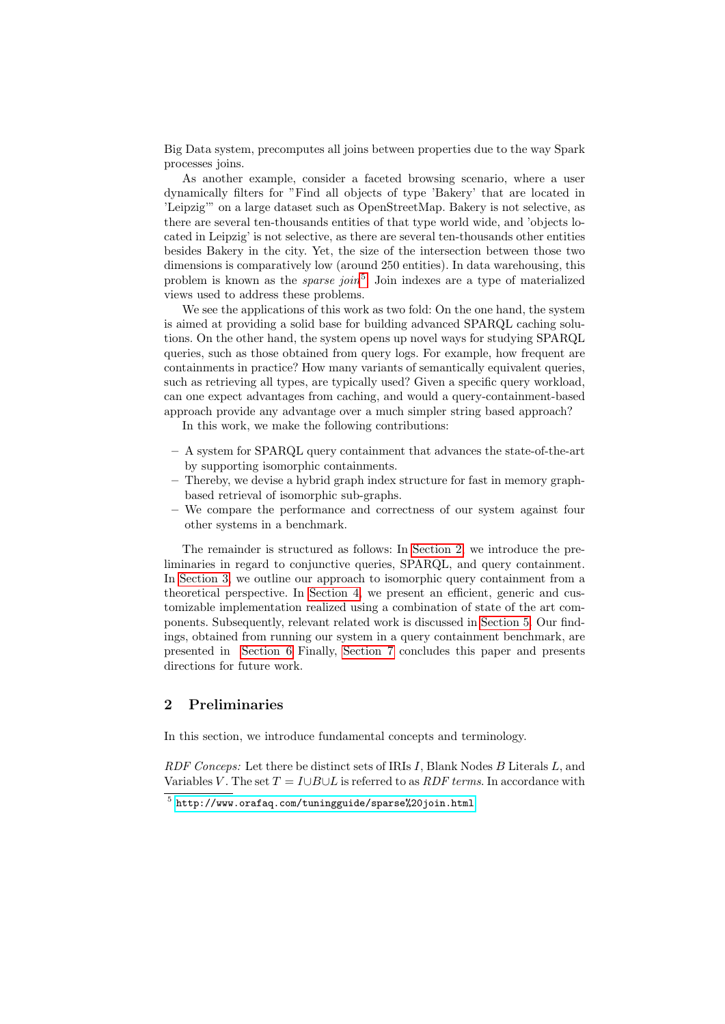Big Data system, precomputes all joins between properties due to the way Spark processes joins.

As another example, consider a faceted browsing scenario, where a user dynamically filters for "Find all objects of type 'Bakery' that are located in 'Leipzig'" on a large dataset such as OpenStreetMap. Bakery is not selective, as there are several ten-thousands entities of that type world wide, and 'objects located in Leipzig' is not selective, as there are several ten-thousands other entities besides Bakery in the city. Yet, the size of the intersection between those two dimensions is comparatively low (around 250 entities). In data warehousing, this problem is known as the *sparse join*<sup>[5](#page-1-0)</sup>. Join indexes are a type of materialized views used to address these problems.

We see the applications of this work as two fold: On the one hand, the system is aimed at providing a solid base for building advanced SPARQL caching solutions. On the other hand, the system opens up novel ways for studying SPARQL queries, such as those obtained from query logs. For example, how frequent are containments in practice? How many variants of semantically equivalent queries, such as retrieving all types, are typically used? Given a specific query workload, can one expect advantages from caching, and would a query-containment-based approach provide any advantage over a much simpler string based approach?

In this work, we make the following contributions:

- A system for SPARQL query containment that advances the state-of-the-art by supporting isomorphic containments.
- Thereby, we devise a hybrid graph index structure for fast in memory graphbased retrieval of isomorphic sub-graphs.
- We compare the performance and correctness of our system against four other systems in a benchmark.

The remainder is structured as follows: In [Section 2,](#page-1-1) we introduce the preliminaries in regard to conjunctive queries, SPARQL, and query containment. In [Section 3,](#page-4-0) we outline our approach to isomorphic query containment from a theoretical perspective. In [Section 4,](#page-8-0) we present an efficient, generic and customizable implementation realized using a combination of state of the art components. Subsequently, relevant related work is discussed in [Section 5.](#page-9-0) Our findings, obtained from running our system in a query containment benchmark, are presented in [Section 6](#page-10-0) Finally, [Section 7](#page-12-0) concludes this paper and presents directions for future work.

#### <span id="page-1-1"></span>2 Preliminaries

In this section, we introduce fundamental concepts and terminology.

RDF Conceps: Let there be distinct sets of IRIs I, Blank Nodes B Literals L, and Variables V. The set  $T = I \cup B \cup L$  is referred to as *RDF terms*. In accordance with

<span id="page-1-0"></span> $^5$ <http://www.orafaq.com/tuningguide/sparse%20join.html>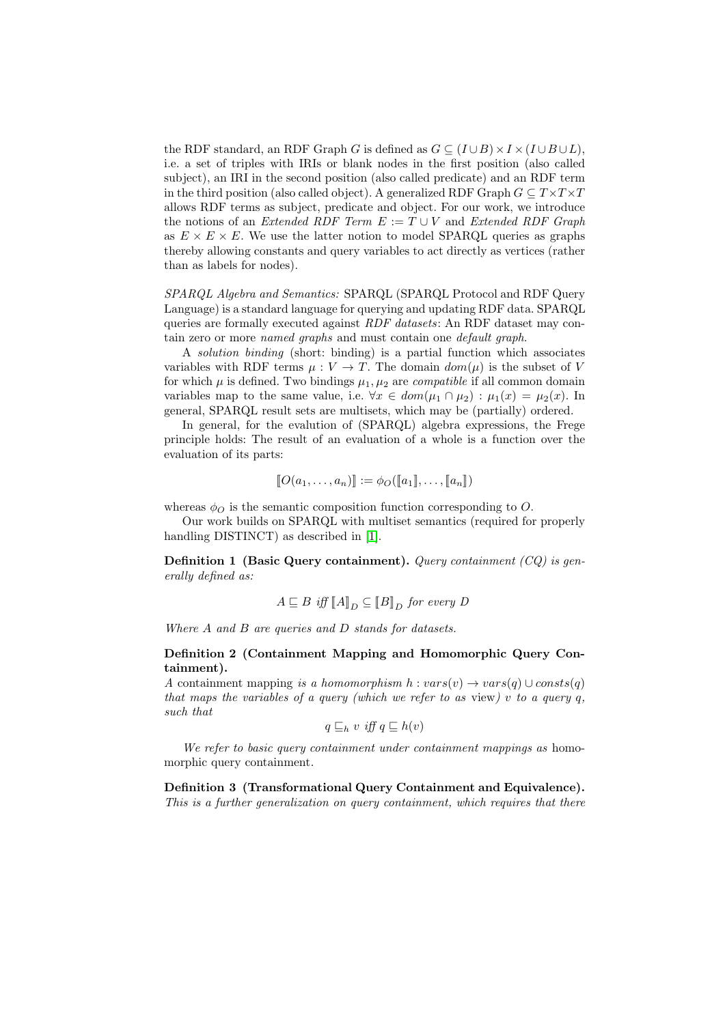the RDF standard, an RDF Graph G is defined as  $G \subseteq (I \cup B) \times I \times (I \cup B \cup L)$ , i.e. a set of triples with IRIs or blank nodes in the first position (also called subject), an IRI in the second position (also called predicate) and an RDF term in the third position (also called object). A generalized RDF Graph  $G \subseteq T \times T \times T$ allows RDF terms as subject, predicate and object. For our work, we introduce the notions of an Extended RDF Term  $E := T \cup V$  and Extended RDF Graph as  $E \times E \times E$ . We use the latter notion to model SPARQL queries as graphs thereby allowing constants and query variables to act directly as vertices (rather than as labels for nodes).

SPARQL Algebra and Semantics: SPARQL (SPARQL Protocol and RDF Query Language) is a standard language for querying and updating RDF data. SPARQL queries are formally executed against *RDF datasets*: An RDF dataset may contain zero or more named graphs and must contain one default graph.

A solution binding (short: binding) is a partial function which associates variables with RDF terms  $\mu : V \to T$ . The domain  $dom(\mu)$  is the subset of V for which  $\mu$  is defined. Two bindings  $\mu_1, \mu_2$  are *compatible* if all common domain variables map to the same value, i.e.  $\forall x \in dom(\mu_1 \cap \mu_2) : \mu_1(x) = \mu_2(x)$ . In general, SPARQL result sets are multisets, which may be (partially) ordered.

In general, for the evalution of (SPARQL) algebra expressions, the Frege principle holds: The result of an evaluation of a whole is a function over the evaluation of its parts:

$$
[\![O(a_1,\ldots,a_n)]\!]:=\phi_O([\![a_1]\!],\ldots,[\![a_n]\!])
$$

whereas  $\phi_O$  is the semantic composition function corresponding to O.

Our work builds on SPARQL with multiset semantics (required for properly handling DISTINCT) as described in [\[1\]](#page-14-2).

<span id="page-2-0"></span>**Definition 1 (Basic Query containment).** Query containment  $(CQ)$  is generally defined as:

$$
A \sqsubseteq B \iff [A]_D \subseteq [B]_D \text{ for every } D
$$

Where A and B are queries and D stands for datasets.

#### Definition 2 (Containment Mapping and Homomorphic Query Containment).

A containment mapping is a homomorphism  $h : vars(v) \rightarrow vars(q) \cup const(q)$ that maps the variables of a query (which we refer to as view)  $v$  to a query  $q$ , such that

$$
q \sqsubseteq_h v \text{ iff } q \sqsubseteq h(v)
$$

We refer to basic query containment under containment mappings as homomorphic query containment.

Definition 3 (Transformational Query Containment and Equivalence). This is a further generalization on query containment, which requires that there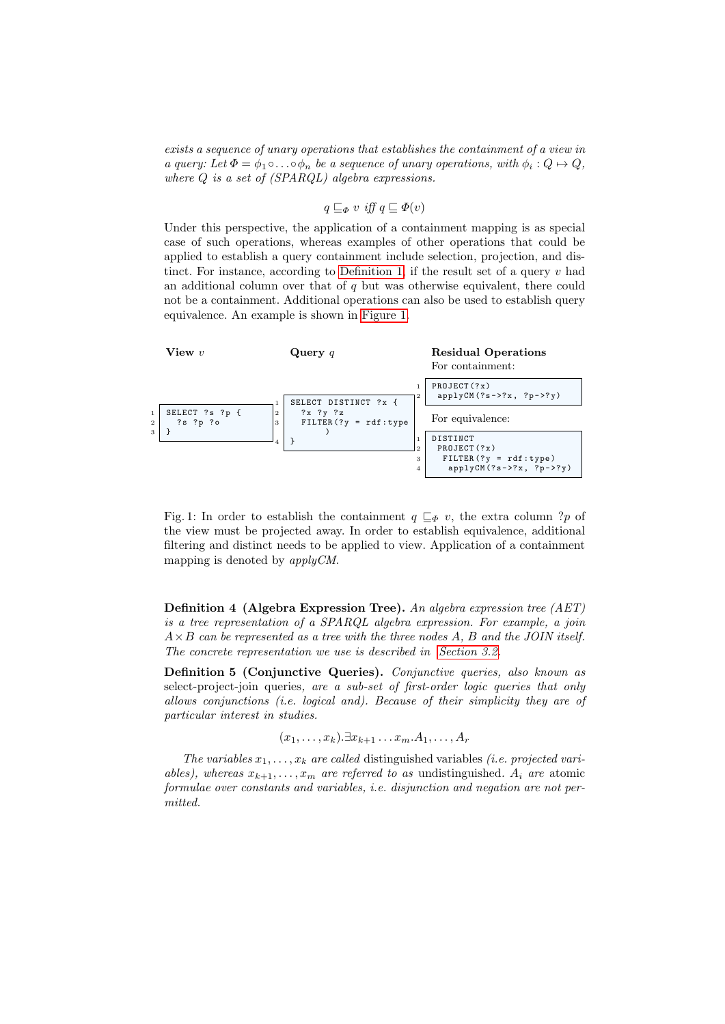exists a sequence of unary operations that establishes the containment of a view in a query: Let  $\Phi = \phi_1 \circ \ldots \circ \phi_n$  be a sequence of unary operations, with  $\phi_i : Q \mapsto Q$ , where Q is a set of (SPARQL) algebra expressions.

$$
q \sqsubseteq_{\varPhi} v \text{ iff } q \sqsubseteq \varPhi(v)
$$

Under this perspective, the application of a containment mapping is as special case of such operations, whereas examples of other operations that could be applied to establish a query containment include selection, projection, and dis-tinct. For instance, according to [Definition 1,](#page-2-0) if the result set of a query  $v$  had an additional column over that of  $q$  but was otherwise equivalent, there could not be a containment. Additional operations can also be used to establish query equivalence. An example is shown in [Figure 1.](#page-3-0)

<span id="page-3-0"></span>

Fig. 1: In order to establish the containment  $q \sqsubseteq_{\Phi} v$ , the extra column ?p of the view must be projected away. In order to establish equivalence, additional filtering and distinct needs to be applied to view. Application of a containment mapping is denoted by applyCM.

Definition 4 (Algebra Expression Tree). An algebra expression tree (AET) is a tree representation of a SPARQL algebra expression. For example, a join  $A \times B$  can be represented as a tree with the three nodes A, B and the JOIN itself. The concrete representation we use is described in [Section 3.2.](#page-7-0)

Definition 5 (Conjunctive Queries). Conjunctive queries, also known as select-project-join queries, are a sub-set of first-order logic queries that only allows conjunctions (i.e. logical and). Because of their simplicity they are of particular interest in studies.

$$
(x_1,\ldots,x_k).\exists x_{k+1}\ldots x_m.A_1,\ldots,A_r
$$

The variables  $x_1, \ldots, x_k$  are called distinguished variables *(i.e. projected vari*ables), whereas  $x_{k+1}, \ldots, x_m$  are referred to as undistinguished.  $A_i$  are atomic formulae over constants and variables, i.e. disjunction and negation are not permitted.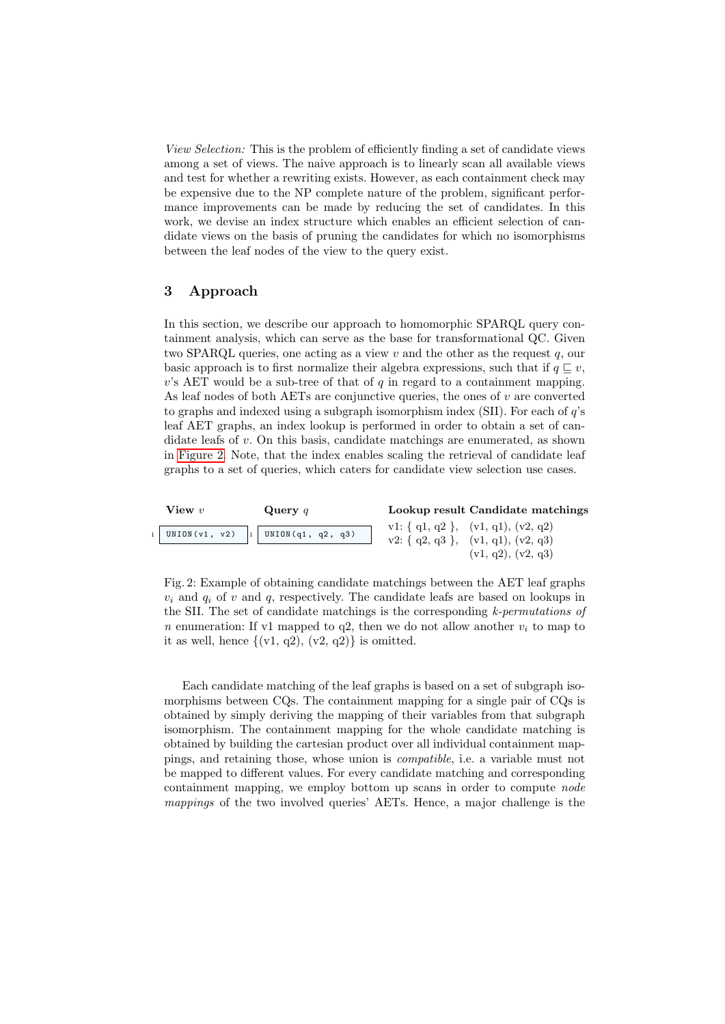View Selection: This is the problem of efficiently finding a set of candidate views among a set of views. The naive approach is to linearly scan all available views and test for whether a rewriting exists. However, as each containment check may be expensive due to the NP complete nature of the problem, significant performance improvements can be made by reducing the set of candidates. In this work, we devise an index structure which enables an efficient selection of candidate views on the basis of pruning the candidates for which no isomorphisms between the leaf nodes of the view to the query exist.

#### <span id="page-4-0"></span>3 Approach

In this section, we describe our approach to homomorphic SPARQL query containment analysis, which can serve as the base for transformational QC. Given two SPARQL queries, one acting as a view  $v$  and the other as the request  $q$ , our basic approach is to first normalize their algebra expressions, such that if  $q \sqsubset v$ ,  $v$ 's AET would be a sub-tree of that of q in regard to a containment mapping. As leaf nodes of both AETs are conjunctive queries, the ones of  $v$  are converted to graphs and indexed using a subgraph isomorphism index (SII). For each of q's leaf AET graphs, an index lookup is performed in order to obtain a set of candidate leafs of  $v$ . On this basis, candidate matchings are enumerated, as shown in [Figure 2.](#page-4-1) Note, that the index enables scaling the retrieval of candidate leaf graphs to a set of queries, which caters for candidate view selection use cases.

<span id="page-4-1"></span>

Fig. 2: Example of obtaining candidate matchings between the AET leaf graphs  $v_i$  and  $a_i$  of v and q, respectively. The candidate leafs are based on lookups in the SII. The set of candidate matchings is the corresponding  $k$ -permutations of n enumeration: If v1 mapped to q2, then we do not allow another  $v_i$  to map to it as well, hence  $\{(v1, q2), (v2, q2)\}\$ is omitted.

Each candidate matching of the leaf graphs is based on a set of subgraph isomorphisms between CQs. The containment mapping for a single pair of CQs is obtained by simply deriving the mapping of their variables from that subgraph isomorphism. The containment mapping for the whole candidate matching is obtained by building the cartesian product over all individual containment mappings, and retaining those, whose union is compatible, i.e. a variable must not be mapped to different values. For every candidate matching and corresponding containment mapping, we employ bottom up scans in order to compute node mappings of the two involved queries' AETs. Hence, a major challenge is the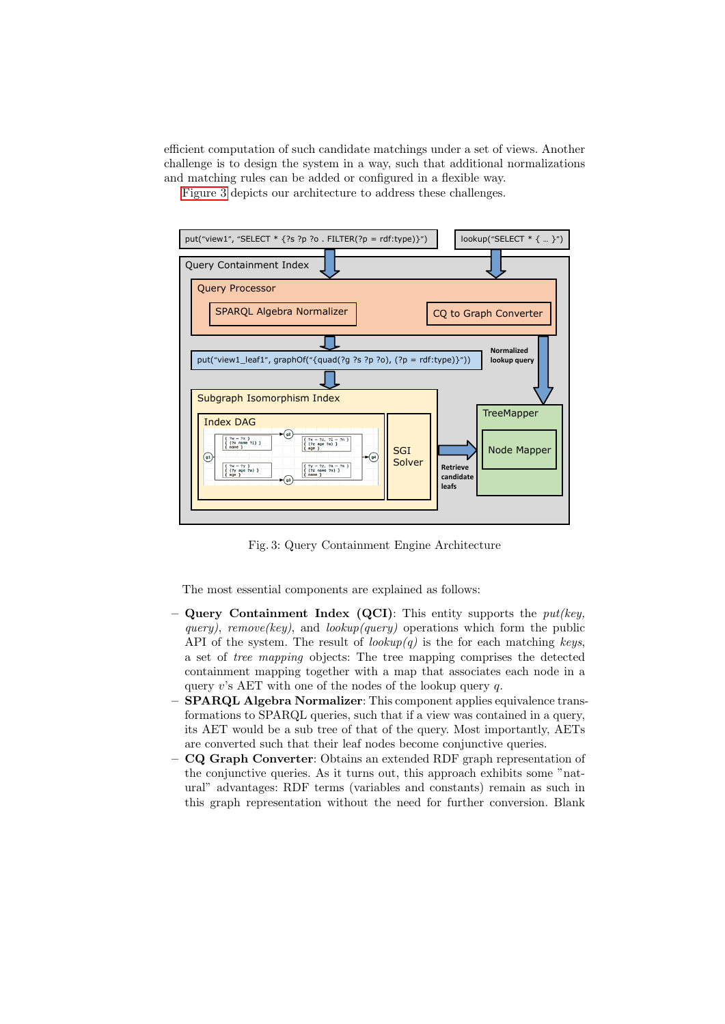efficient computation of such candidate matchings under a set of views. Another challenge is to design the system in a way, such that additional normalizations and matching rules can be added or configured in a flexible way.

[Figure 3](#page-5-0) depicts our architecture to address these challenges.

<span id="page-5-0"></span>

Fig. 3: Query Containment Engine Architecture

The most essential components are explained as follows:

- **Query Containment Index (QCI):** This entity supports the  $put(key,$ query), remove(key), and lookup(query) operations which form the public API of the system. The result of  $\ell(\omega kup(q))$  is the for each matching keys, a set of tree mapping objects: The tree mapping comprises the detected containment mapping together with a map that associates each node in a query v's AET with one of the nodes of the lookup query  $q$ .
- SPARQL Algebra Normalizer: This component applies equivalence transformations to SPARQL queries, such that if a view was contained in a query, its AET would be a sub tree of that of the query. Most importantly, AETs are converted such that their leaf nodes become conjunctive queries.
- CQ Graph Converter: Obtains an extended RDF graph representation of the conjunctive queries. As it turns out, this approach exhibits some "natural" advantages: RDF terms (variables and constants) remain as such in this graph representation without the need for further conversion. Blank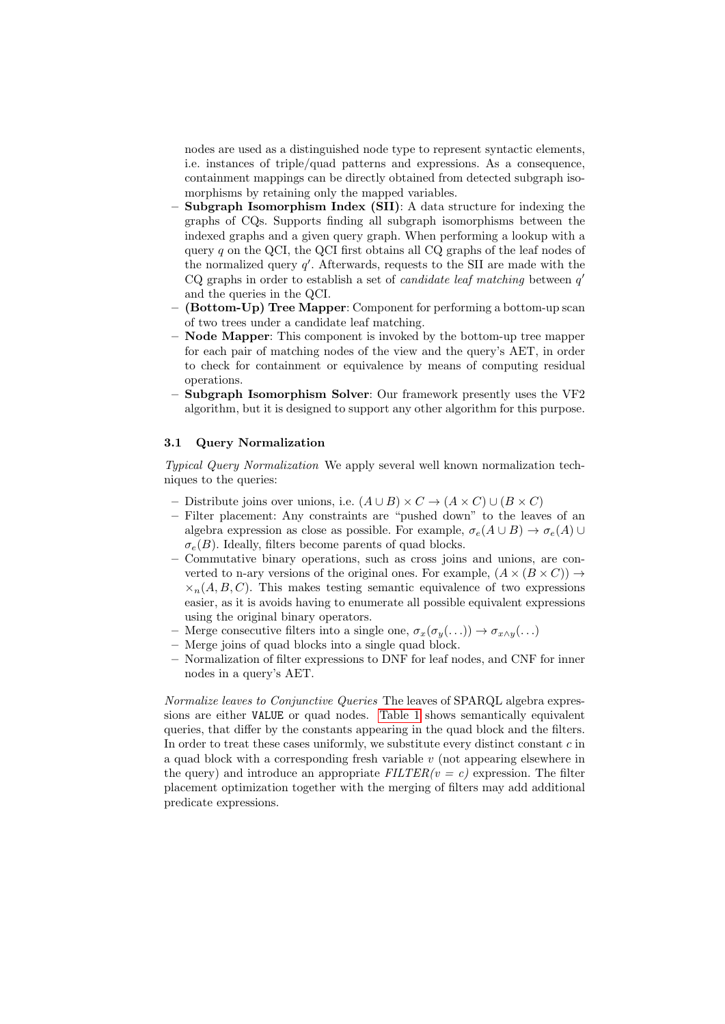nodes are used as a distinguished node type to represent syntactic elements, i.e. instances of triple/quad patterns and expressions. As a consequence, containment mappings can be directly obtained from detected subgraph isomorphisms by retaining only the mapped variables.

- Subgraph Isomorphism Index (SII): A data structure for indexing the graphs of CQs. Supports finding all subgraph isomorphisms between the indexed graphs and a given query graph. When performing a lookup with a query  $q$  on the QCI, the QCI first obtains all CQ graphs of the leaf nodes of the normalized query  $q'$ . Afterwards, requests to the SII are made with the CQ graphs in order to establish a set of *candidate leaf matching* between  $q'$ and the queries in the QCI.
- (Bottom-Up) Tree Mapper: Component for performing a bottom-up scan of two trees under a candidate leaf matching.
- Node Mapper: This component is invoked by the bottom-up tree mapper for each pair of matching nodes of the view and the query's AET, in order to check for containment or equivalence by means of computing residual operations.
- Subgraph Isomorphism Solver: Our framework presently uses the VF2 algorithm, but it is designed to support any other algorithm for this purpose.

#### 3.1 Query Normalization

Typical Query Normalization We apply several well known normalization techniques to the queries:

- Distribute joins over unions, i.e.  $(A \cup B) \times C \rightarrow (A \times C) \cup (B \times C)$
- Filter placement: Any constraints are "pushed down" to the leaves of an algebra expression as close as possible. For example,  $\sigma_e(A \cup B) \to \sigma_e(A) \cup$  $\sigma_e(B)$ . Ideally, filters become parents of quad blocks.
- Commutative binary operations, such as cross joins and unions, are converted to n-ary versions of the original ones. For example,  $(A \times (B \times C)) \rightarrow$  $\times_n(A, B, C)$ . This makes testing semantic equivalence of two expressions easier, as it is avoids having to enumerate all possible equivalent expressions using the original binary operators.
- Merge consecutive filters into a single one,  $\sigma_x(\sigma_y(\ldots)) \to \sigma_{x \wedge y}(\ldots)$
- Merge joins of quad blocks into a single quad block.
- Normalization of filter expressions to DNF for leaf nodes, and CNF for inner nodes in a query's AET.

Normalize leaves to Conjunctive Queries The leaves of SPARQL algebra expressions are either VALUE or quad nodes. [Table 1](#page-7-1) shows semantically equivalent queries, that differ by the constants appearing in the quad block and the filters. In order to treat these cases uniformly, we substitute every distinct constant  $c$  in a quad block with a corresponding fresh variable v (not appearing elsewhere in the query) and introduce an appropriate  $FILTER(v = c)$  expression. The filter placement optimization together with the merging of filters may add additional predicate expressions.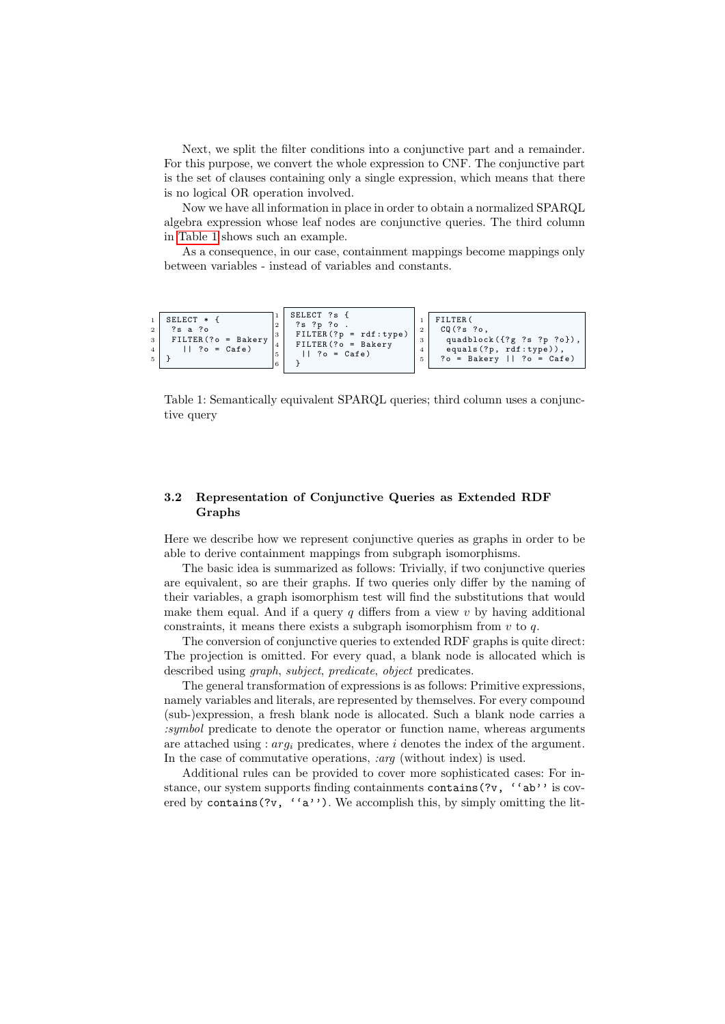Next, we split the filter conditions into a conjunctive part and a remainder. For this purpose, we convert the whole expression to CNF. The conjunctive part is the set of clauses containing only a single expression, which means that there is no logical OR operation involved.

Now we have all information in place in order to obtain a normalized SPARQL algebra expression whose leaf nodes are conjunctive queries. The third column in [Table 1](#page-7-1) shows such an example.

As a consequence, in our case, containment mappings become mappings only between variables - instead of variables and constants.

```
\begin{array}{c|c}\n1 & \text{SELECT} & * & \text{?} \\
2 & 3 & 3 & 3\n\end{array}\begin{array}{c|cc}\n2 & ?s & a & ?o \\
\hline\n3 & \text{FILTER}\n\end{array}FILTER ( ? o = Bakerv)\begin{array}{c|ccccc} 4 & & & \end{array} || ?o = Cafe)
       \overline{\phantom{a}}SELECT ?s {
                                                                     2 ?s ?p ?o .
                                                                     FILTER (?p = rdf: type)FILTER ( ? <math>\circ</math> = Bakery)||  ? o = Cafe)
                                                                     6 }
                                                                                                                                       FILTER (
                                                                                                                               \begin{array}{c|c} 2 & \text{CQ} (?s \text{ ?o}, \\ 3 & \text{quad} \end{array}quadblock ({?g ?s ?p ?o})
                                                                                                                                4 equals (?p, rdf: type),<br>5 ?o = Bakery || ?o = Cafe)
```
Table 1: Semantically equivalent SPARQL queries; third column uses a conjunctive query

#### <span id="page-7-0"></span>3.2 Representation of Conjunctive Queries as Extended RDF Graphs

Here we describe how we represent conjunctive queries as graphs in order to be able to derive containment mappings from subgraph isomorphisms.

The basic idea is summarized as follows: Trivially, if two conjunctive queries are equivalent, so are their graphs. If two queries only differ by the naming of their variables, a graph isomorphism test will find the substitutions that would make them equal. And if a query  $q$  differs from a view  $v$  by having additional constraints, it means there exists a subgraph isomorphism from  $v$  to  $q$ .

The conversion of conjunctive queries to extended RDF graphs is quite direct: The projection is omitted. For every quad, a blank node is allocated which is described using graph, subject, predicate, object predicates.

The general transformation of expressions is as follows: Primitive expressions, namely variables and literals, are represented by themselves. For every compound (sub-)expression, a fresh blank node is allocated. Such a blank node carries a :symbol predicate to denote the operator or function name, whereas arguments are attached using :  $arq_i$  predicates, where i denotes the index of the argument. In the case of commutative operations, :arg (without index) is used.

Additional rules can be provided to cover more sophisticated cases: For instance, our system supports finding containments contains  $(2v, '`ab')$  is covered by contains(?v,  $'`a'$ ). We accomplish this, by simply omitting the lit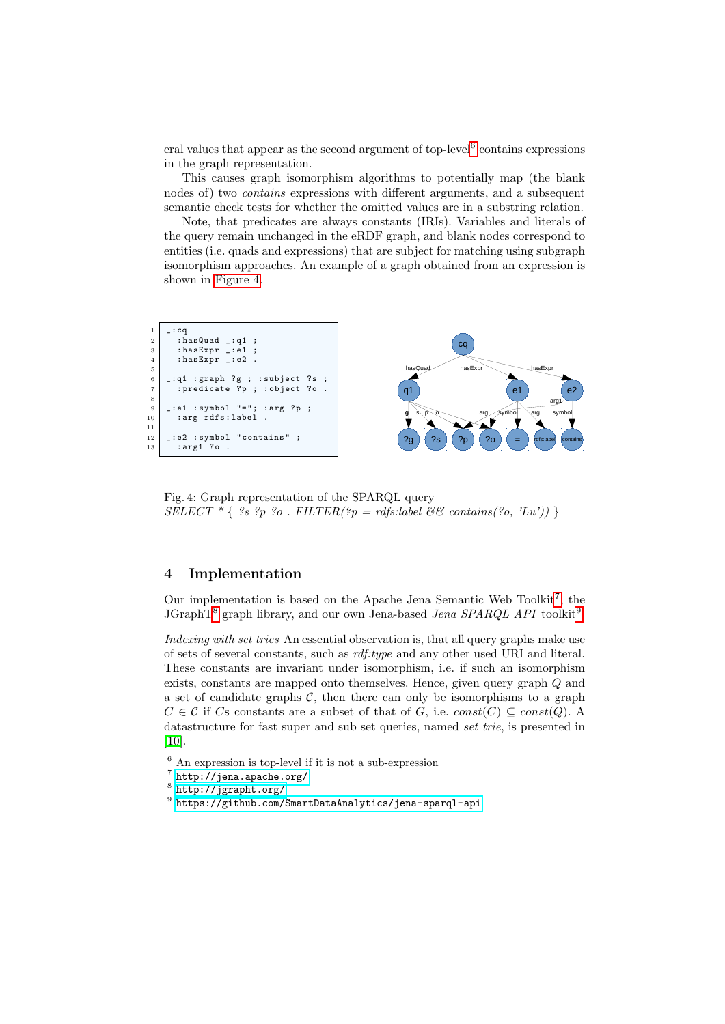eral values that appear as the second argument of top-level<sup>[6](#page-8-1)</sup> contains expressions in the graph representation.

This causes graph isomorphism algorithms to potentially map (the blank nodes of) two contains expressions with different arguments, and a subsequent semantic check tests for whether the omitted values are in a substring relation.

Note, that predicates are always constants (IRIs). Variables and literals of the query remain unchanged in the eRDF graph, and blank nodes correspond to entities (i.e. quads and expressions) that are subject for matching using subgraph isomorphism approaches. An example of a graph obtained from an expression is shown in [Figure 4.](#page-8-2)

<span id="page-8-2"></span>

Fig. 4: Graph representation of the SPARQL query SELECT  $*$  { ?s ?p ?o. FILTER(?p = rdfs:label && contains(?o, 'Lu')) }

#### <span id="page-8-0"></span>4 Implementation

Our implementation is based on the Apache Jena Semantic Web Toolkit<sup>[7](#page-8-3)</sup>, the JGraphT<sup>[8](#page-8-4)</sup> graph library, and our own Jena-based *Jena SPARQL API* toolkit<sup>[9](#page-8-5)</sup>.

Indexing with set tries An essential observation is, that all query graphs make use of sets of several constants, such as rdf:type and any other used URI and literal. These constants are invariant under isomorphism, i.e. if such an isomorphism exists, constants are mapped onto themselves. Hence, given query graph Q and a set of candidate graphs  $C$ , then there can only be isomorphisms to a graph  $C \in \mathcal{C}$  if Cs constants are a subset of that of G, i.e.  $const(C) \subseteq const(Q)$ . A datastructure for fast super and sub set queries, named set trie, is presented in [\[10\]](#page-14-3).

<span id="page-8-1"></span><sup>6</sup> An expression is top-level if it is not a sub-expression

<span id="page-8-3"></span> $7$  <http://jena.apache.org/>

<span id="page-8-4"></span> $^8$  <http://jgrapht.org/>

<span id="page-8-5"></span> $^9$  <https://github.com/SmartDataAnalytics/jena-sparql-api>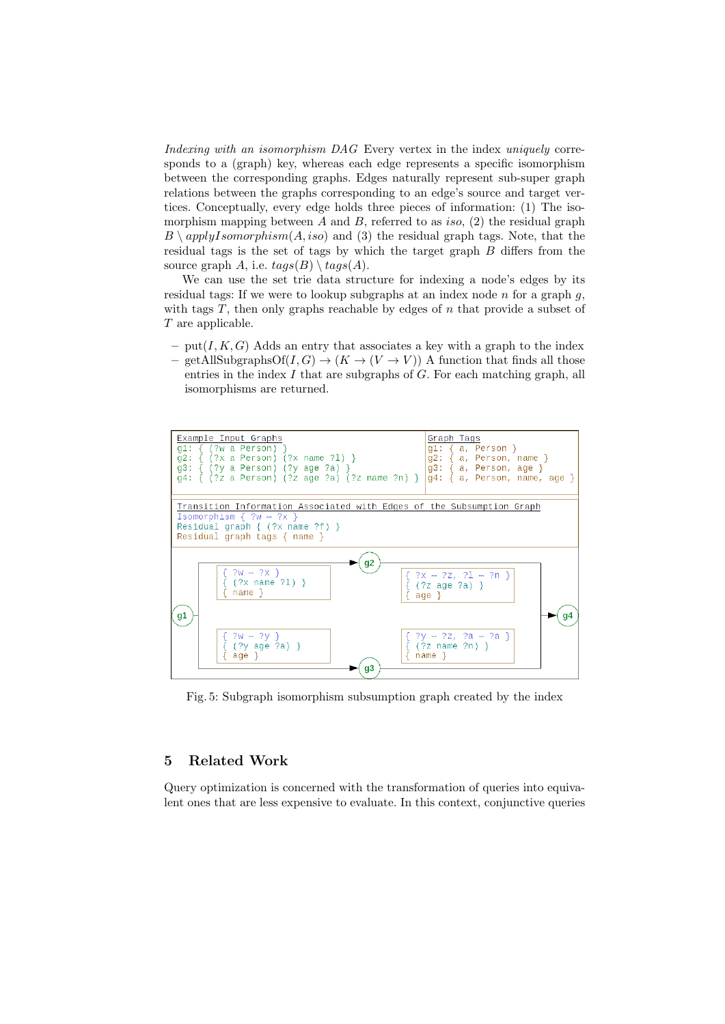Indexing with an isomorphism DAG Every vertex in the index uniquely corresponds to a (graph) key, whereas each edge represents a specific isomorphism between the corresponding graphs. Edges naturally represent sub-super graph relations between the graphs corresponding to an edge's source and target vertices. Conceptually, every edge holds three pieces of information: (1) The isomorphism mapping between A and B, referred to as *iso*, (2) the residual graph  $B \setminus applyIsomorphism(A, iso)$  and (3) the residual graph tags. Note, that the residual tags is the set of tags by which the target graph B differs from the source graph A, i.e.  $tags(B) \setminus tags(A)$ .

We can use the set trie data structure for indexing a node's edges by its residual tags: If we were to lookup subgraphs at an index node  $n$  for a graph  $q$ , with tags  $T$ , then only graphs reachable by edges of  $n$  that provide a subset of T are applicable.

– put( $I, K, G$ ) Adds an entry that associates a key with a graph to the index – getAllSubgraphsOf(I, G)  $\rightarrow$  (K  $\rightarrow$  (V  $\rightarrow$  V)) A function that finds all those entries in the index  $I$  that are subgraphs of  $G$ . For each matching graph, all isomorphisms are returned.



Fig. 5: Subgraph isomorphism subsumption graph created by the index

#### <span id="page-9-0"></span>5 Related Work

Query optimization is concerned with the transformation of queries into equivalent ones that are less expensive to evaluate. In this context, conjunctive queries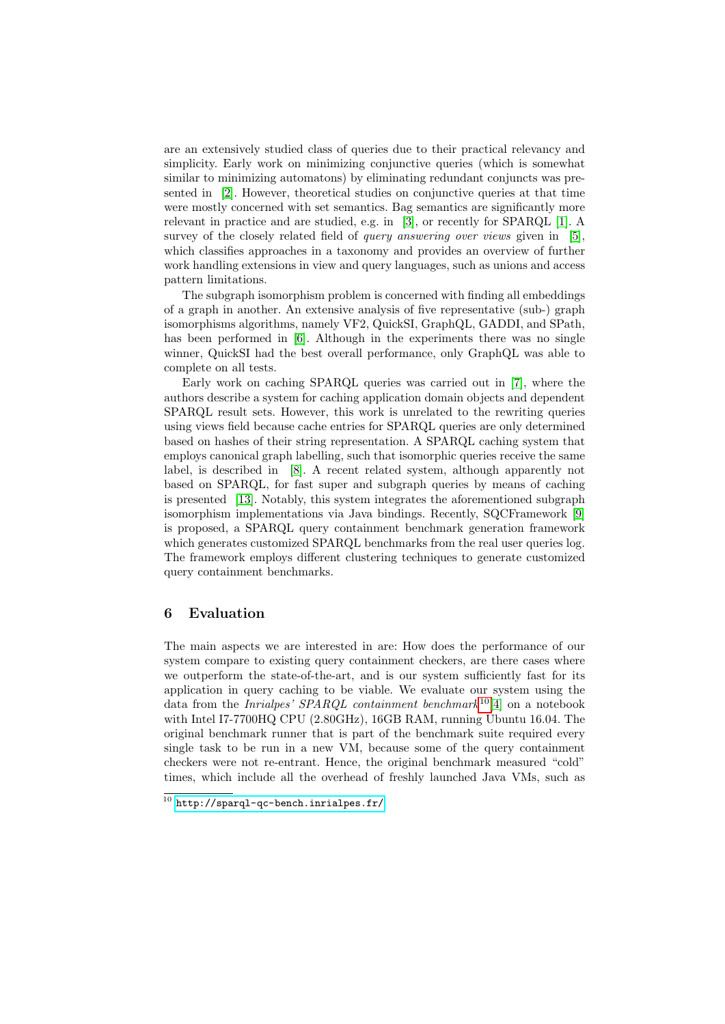are an extensively studied class of queries due to their practical relevancy and simplicity. Early work on minimizing conjunctive queries (which is somewhat similar to minimizing automatons) by eliminating redundant conjuncts was presented in [\[2\]](#page-14-4). However, theoretical studies on conjunctive queries at that time were mostly concerned with set semantics. Bag semantics are significantly more relevant in practice and are studied, e.g. in [\[3\]](#page-14-5), or recently for SPARQL [\[1\]](#page-14-2). A survey of the closely related field of *query answering over views* given in [\[5\]](#page-14-6), which classifies approaches in a taxonomy and provides an overview of further work handling extensions in view and query languages, such as unions and access pattern limitations.

The subgraph isomorphism problem is concerned with finding all embeddings of a graph in another. An extensive analysis of five representative (sub-) graph isomorphisms algorithms, namely VF2, QuickSI, GraphQL, GADDI, and SPath, has been performed in [\[6\]](#page-14-7). Although in the experiments there was no single winner, QuickSI had the best overall performance, only GraphQL was able to complete on all tests.

Early work on caching SPARQL queries was carried out in [\[7\]](#page-14-8), where the authors describe a system for caching application domain objects and dependent SPARQL result sets. However, this work is unrelated to the rewriting queries using views field because cache entries for SPARQL queries are only determined based on hashes of their string representation. A SPARQL caching system that employs canonical graph labelling, such that isomorphic queries receive the same label, is described in [\[8\]](#page-14-9). A recent related system, although apparently not based on SPARQL, for fast super and subgraph queries by means of caching is presented [\[13\]](#page-14-10). Notably, this system integrates the aforementioned subgraph isomorphism implementations via Java bindings. Recently, SQCFramework [\[9\]](#page-14-11) is proposed, a SPARQL query containment benchmark generation framework which generates customized SPARQL benchmarks from the real user queries log. The framework employs different clustering techniques to generate customized query containment benchmarks.

#### <span id="page-10-0"></span>6 Evaluation

The main aspects we are interested in are: How does the performance of our system compare to existing query containment checkers, are there cases where we outperform the state-of-the-art, and is our system sufficiently fast for its application in query caching to be viable. We evaluate our system using the data from the *Inrialpes' SPARQL containment benchmark*<sup>[10](#page-10-1)</sup>[\[4\]](#page-14-12) on a notebook with Intel I7-7700HQ CPU (2.80GHz), 16GB RAM, running Ubuntu 16.04. The original benchmark runner that is part of the benchmark suite required every single task to be run in a new VM, because some of the query containment checkers were not re-entrant. Hence, the original benchmark measured "cold" times, which include all the overhead of freshly launched Java VMs, such as

<span id="page-10-1"></span> $10$  <http://sparql-qc-bench.inrialpes.fr/>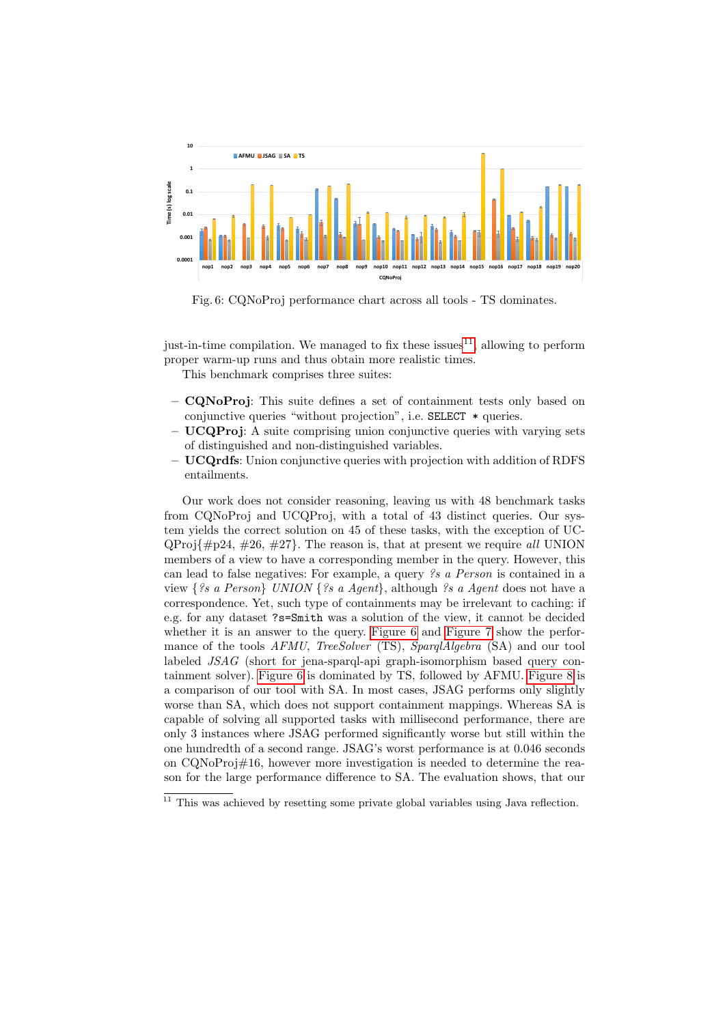<span id="page-11-1"></span>

Fig. 6: CQNoProj performance chart across all tools - TS dominates.

just-in-time compilation. We managed to fix these issues  $11$ , allowing to perform proper warm-up runs and thus obtain more realistic times.

This benchmark comprises three suites:

- CQNoProj: This suite defines a set of containment tests only based on conjunctive queries "without projection", i.e. SELECT \* queries.
- UCQProj: A suite comprising union conjunctive queries with varying sets of distinguished and non-distinguished variables.
- $-$  **UCQrdfs**: Union conjunctive queries with projection with addition of RDFS entailments.

Our work does not consider reasoning, leaving us with 48 benchmark tasks from CQNoProj and UCQProj, with a total of 43 distinct queries. Our system yields the correct solution on 45 of these tasks, with the exception of UC- $QProj{ \n#p24, \n#26, \n#27}.$  The reason is, that at present we require all UNION members of a view to have a corresponding member in the query. However, this can lead to false negatives: For example, a query ?s a Person is contained in a view {?s a Person} UNION {?s a Agent}, although ?s a Agent does not have a correspondence. Yet, such type of containments may be irrelevant to caching: if e.g. for any dataset ?s=Smith was a solution of the view, it cannot be decided whether it is an answer to the query. [Figure 6](#page-11-1) and [Figure 7](#page-12-1) show the performance of the tools AFMU, TreeSolver (TS), SparqlAlgebra (SA) and our tool labeled JSAG (short for jena-sparql-api graph-isomorphism based query containment solver). [Figure 6](#page-11-1) is dominated by TS, followed by AFMU. [Figure 8](#page-12-2) is a comparison of our tool with SA. In most cases, JSAG performs only slightly worse than SA, which does not support containment mappings. Whereas SA is capable of solving all supported tasks with millisecond performance, there are only 3 instances where JSAG performed significantly worse but still within the one hundredth of a second range. JSAG's worst performance is at 0.046 seconds on CQNoProj#16, however more investigation is needed to determine the reason for the large performance difference to SA. The evaluation shows, that our

<span id="page-11-0"></span> $11$  This was achieved by resetting some private global variables using Java reflection.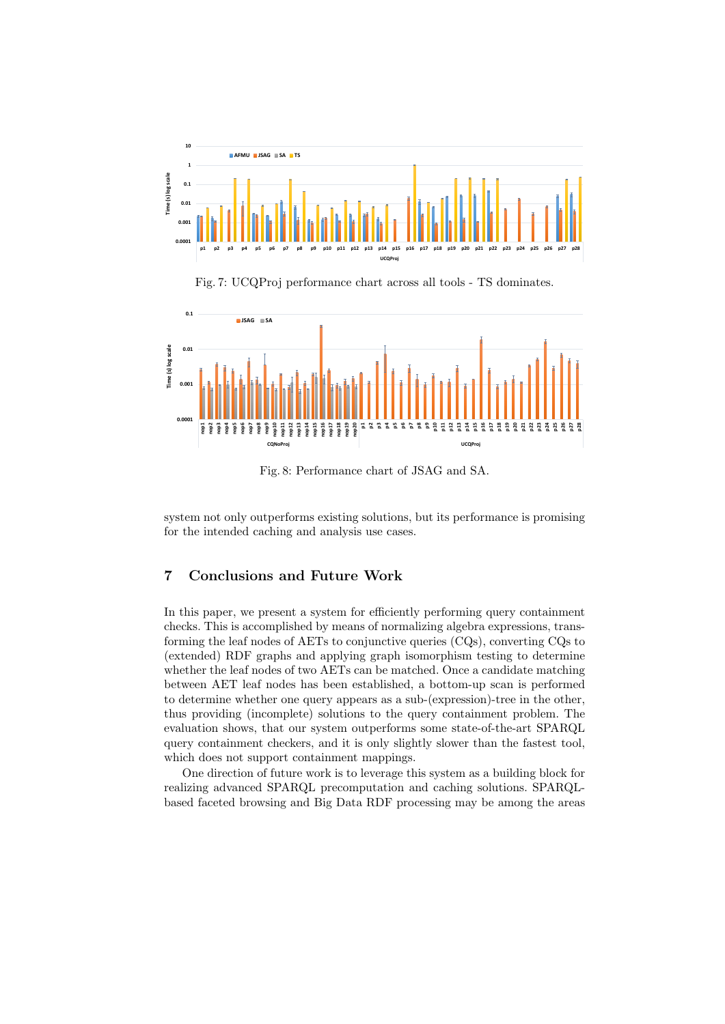<span id="page-12-1"></span>

Fig. 7: UCQProj performance chart across all tools - TS dominates.

<span id="page-12-2"></span>

Fig. 8: Performance chart of JSAG and SA.

system not only outperforms existing solutions, but its performance is promising for the intended caching and analysis use cases.

### <span id="page-12-0"></span>7 Conclusions and Future Work

In this paper, we present a system for efficiently performing query containment checks. This is accomplished by means of normalizing algebra expressions, transforming the leaf nodes of AETs to conjunctive queries (CQs), converting CQs to (extended) RDF graphs and applying graph isomorphism testing to determine whether the leaf nodes of two AETs can be matched. Once a candidate matching between AET leaf nodes has been established, a bottom-up scan is performed to determine whether one query appears as a sub-(expression)-tree in the other, thus providing (incomplete) solutions to the query containment problem. The evaluation shows, that our system outperforms some state-of-the-art SPARQL query containment checkers, and it is only slightly slower than the fastest tool, which does not support containment mappings.

One direction of future work is to leverage this system as a building block for realizing advanced SPARQL precomputation and caching solutions. SPARQLbased faceted browsing and Big Data RDF processing may be among the areas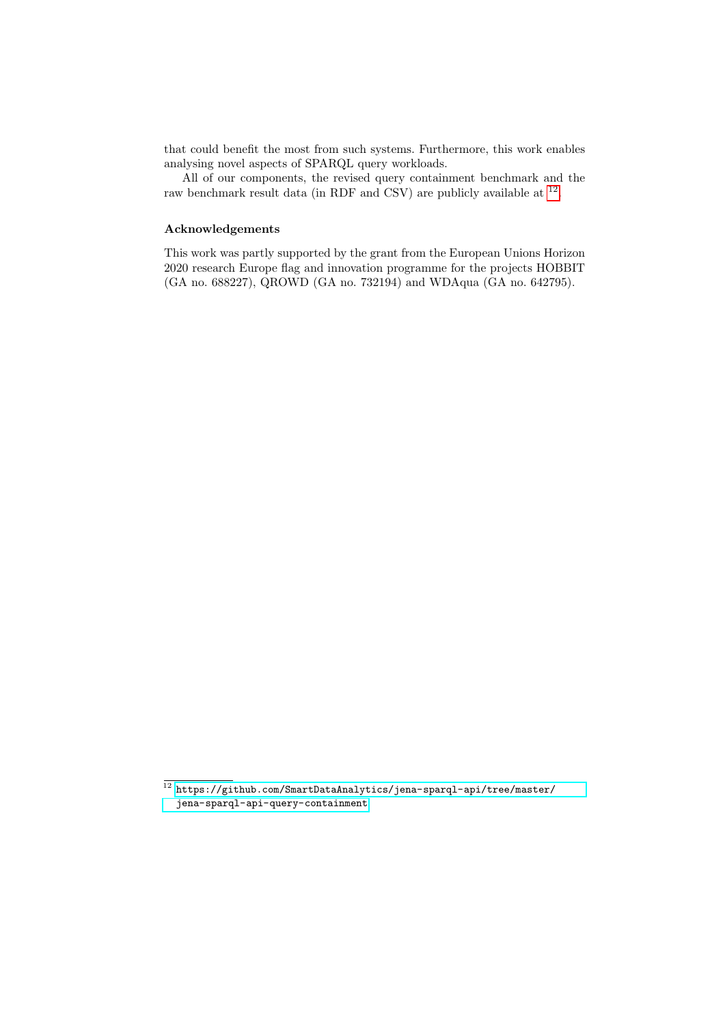that could benefit the most from such systems. Furthermore, this work enables analysing novel aspects of SPARQL query workloads.

All of our components, the revised query containment benchmark and the raw benchmark result data (in RDF and CSV) are publicly available at <sup>[12](#page-13-0)</sup>.

#### Acknowledgements

This work was partly supported by the grant from the European Unions Horizon 2020 research Europe flag and innovation programme for the projects HOBBIT (GA no. 688227), QROWD (GA no. 732194) and WDAqua (GA no. 642795).

<span id="page-13-0"></span> $\frac{12}{12}$ [https://github.com/SmartDataAnalytics/jena-sparql-api/tree/master/](https://github.com/SmartDataAnalytics/jena-sparql-api/tree/master/jena-sparql-api-query-containment) [jena-sparql-api-query-containment](https://github.com/SmartDataAnalytics/jena-sparql-api/tree/master/jena-sparql-api-query-containment)